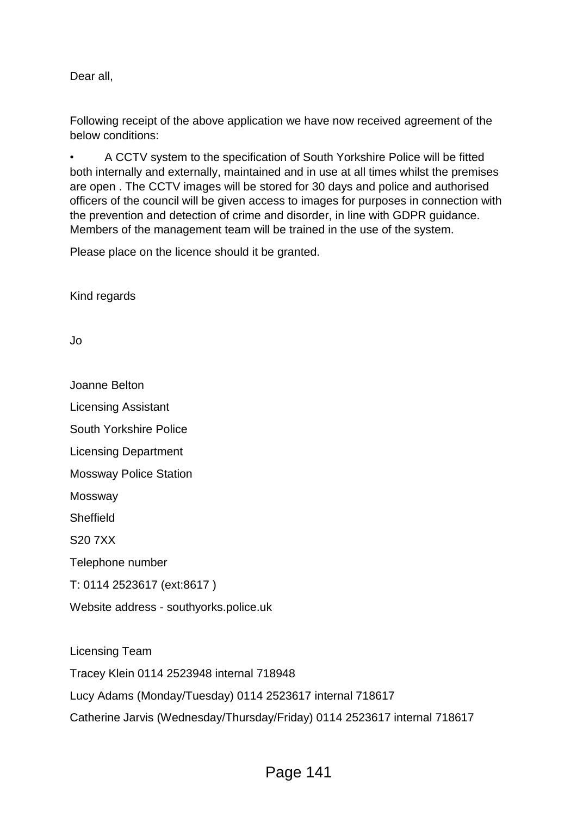Dear all,

Following receipt of the above application we have now received agreement of the below conditions:

• A CCTV system to the specification of South Yorkshire Police will be fitted both internally and externally, maintained and in use at all times whilst the premises are open . The CCTV images will be stored for 30 days and police and authorised officers of the council will be given access to images for purposes in connection with the prevention and detection of crime and disorder, in line with GDPR guidance. Members of the management team will be trained in the use of the system.

Please place on the licence should it be granted.

Kind regards

Jo

Joanne Belton

Licensing Assistant

South Yorkshire Police

Licensing Department

Mossway Police Station

Mossway

**Sheffield** 

S20 7XX

Telephone number

T: 0114 2523617 (ext:8617 )

Website address - southyorks.police.uk

Licensing Team Tracey Klein 0114 2523948 internal 718948 Lucy Adams (Monday/Tuesday) 0114 2523617 internal 718617 Catherine Jarvis (Wednesday/Thursday/Friday) 0114 2523617 internal 718617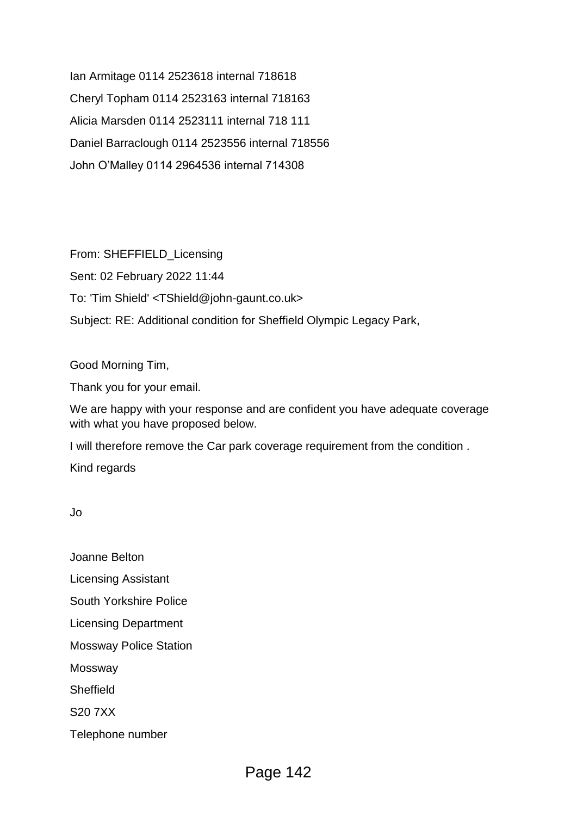Ian Armitage 0114 2523618 internal 718618 Cheryl Topham 0114 2523163 internal 718163 Alicia Marsden 0114 2523111 internal 718 111 Daniel Barraclough 0114 2523556 internal 718556 John O'Malley 0114 2964536 internal 714308

From: SHEFFIELD\_Licensing Sent: 02 February 2022 11:44 To: 'Tim Shield' <TShield@john-gaunt.co.uk> Subject: RE: Additional condition for Sheffield Olympic Legacy Park,

Good Morning Tim,

Thank you for your email.

We are happy with your response and are confident you have adequate coverage with what you have proposed below.

I will therefore remove the Car park coverage requirement from the condition .

Kind regards

Jo

Joanne Belton Licensing Assistant

South Yorkshire Police

Licensing Department

Mossway Police Station

Mossway

**Sheffield** 

S20 7XX

Telephone number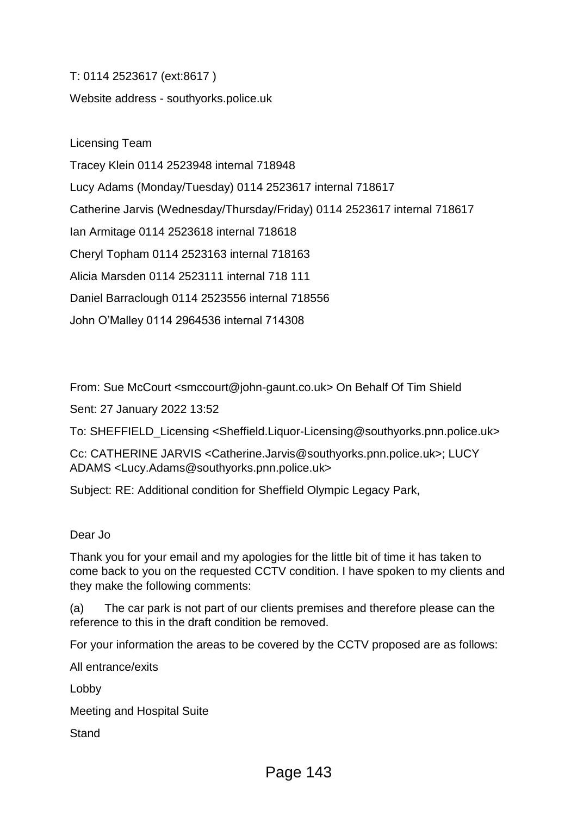T: 0114 2523617 (ext:8617 ) Website address - southyorks.police.uk

Licensing Team Tracey Klein 0114 2523948 internal 718948 Lucy Adams (Monday/Tuesday) 0114 2523617 internal 718617 Catherine Jarvis (Wednesday/Thursday/Friday) 0114 2523617 internal 718617 Ian Armitage 0114 2523618 internal 718618 Cheryl Topham 0114 2523163 internal 718163 Alicia Marsden 0114 2523111 internal 718 111 Daniel Barraclough 0114 2523556 internal 718556 John O'Malley 0114 2964536 internal 714308

From: Sue McCourt <smccourt@john-gaunt.co.uk> On Behalf Of Tim Shield

Sent: 27 January 2022 13:52

To: SHEFFIELD\_Licensing <Sheffield.Liquor-Licensing@southyorks.pnn.police.uk>

Cc: CATHERINE JARVIS <Catherine.Jarvis@southyorks.pnn.police.uk>; LUCY ADAMS <Lucy.Adams@southyorks.pnn.police.uk>

Subject: RE: Additional condition for Sheffield Olympic Legacy Park,

## Dear Jo

Thank you for your email and my apologies for the little bit of time it has taken to come back to you on the requested CCTV condition. I have spoken to my clients and they make the following comments:

(a) The car park is not part of our clients premises and therefore please can the reference to this in the draft condition be removed.

For your information the areas to be covered by the CCTV proposed are as follows:

All entrance/exits

Lobby

Meeting and Hospital Suite

**Stand**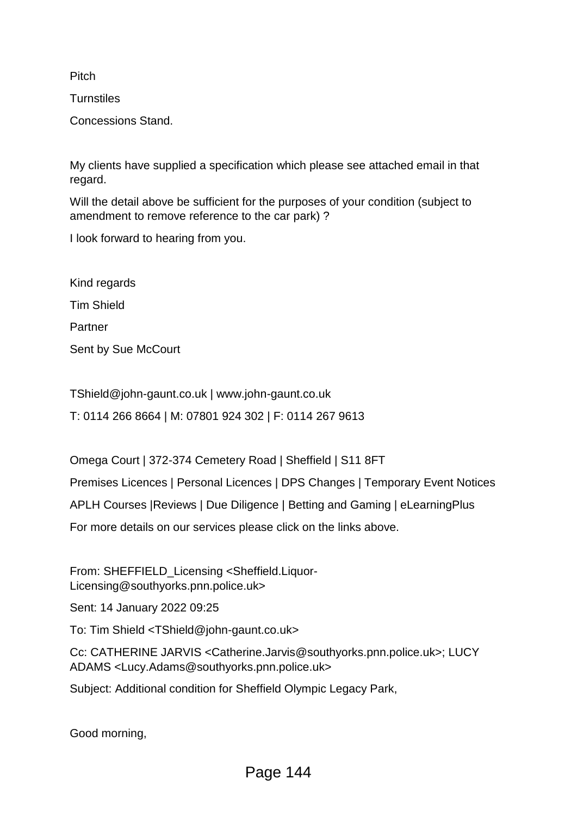**Pitch** 

**Turnstiles** 

Concessions Stand.

My clients have supplied a specification which please see attached email in that regard.

Will the detail above be sufficient for the purposes of your condition (subject to amendment to remove reference to the car park) ?

I look forward to hearing from you.

Kind regards Tim Shield Partner Sent by Sue McCourt

TShield@john-gaunt.co.uk | www.john-gaunt.co.uk

T: 0114 266 8664 | M: 07801 924 302 | F: 0114 267 9613

Omega Court | 372-374 Cemetery Road | Sheffield | S11 8FT

Premises Licences | Personal Licences | DPS Changes | Temporary Event Notices

APLH Courses |Reviews | Due Diligence | Betting and Gaming | eLearningPlus

For more details on our services please click on the links above.

From: SHEFFIELD\_Licensing <Sheffield.Liquor-Licensing@southyorks.pnn.police.uk>

Sent: 14 January 2022 09:25

To: Tim Shield <TShield@john-gaunt.co.uk>

Cc: CATHERINE JARVIS <Catherine.Jarvis@southyorks.pnn.police.uk>; LUCY ADAMS <Lucy.Adams@southyorks.pnn.police.uk>

Subject: Additional condition for Sheffield Olympic Legacy Park,

Good morning,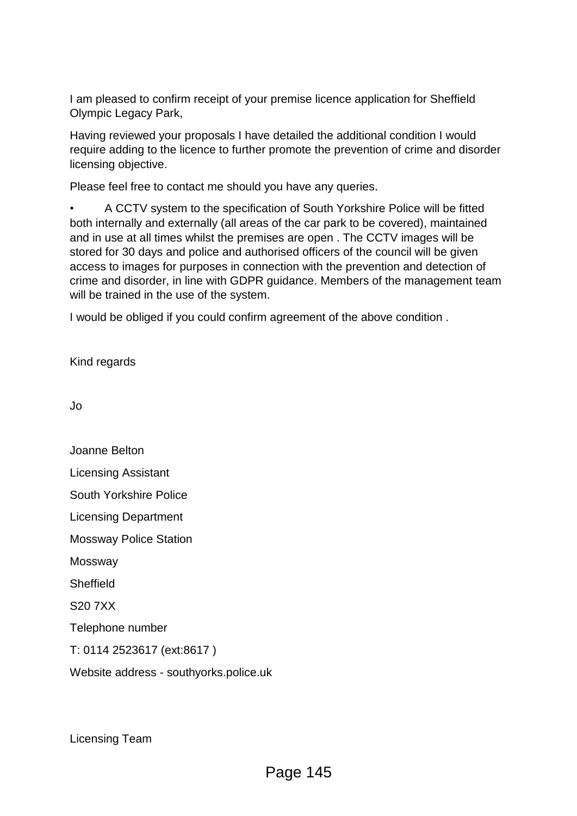I am pleased to confirm receipt of your premise licence application for Sheffield Olympic Legacy Park,

Having reviewed your proposals I have detailed the additional condition I would require adding to the licence to further promote the prevention of crime and disorder licensing objective.

Please feel free to contact me should you have any queries.

• A CCTV system to the specification of South Yorkshire Police will be fitted both internally and externally (all areas of the car park to be covered), maintained and in use at all times whilst the premises are open . The CCTV images will be stored for 30 days and police and authorised officers of the council will be given access to images for purposes in connection with the prevention and detection of crime and disorder, in line with GDPR guidance. Members of the management team will be trained in the use of the system.

I would be obliged if you could confirm agreement of the above condition .

Kind regards

Jo

Joanne Belton Licensing Assistant South Yorkshire Police Licensing Department Mossway Police Station Mossway **Sheffield** S20 7XX Telephone number T: 0114 2523617 (ext:8617 ) Website address - southyorks.police.uk

Licensing Team